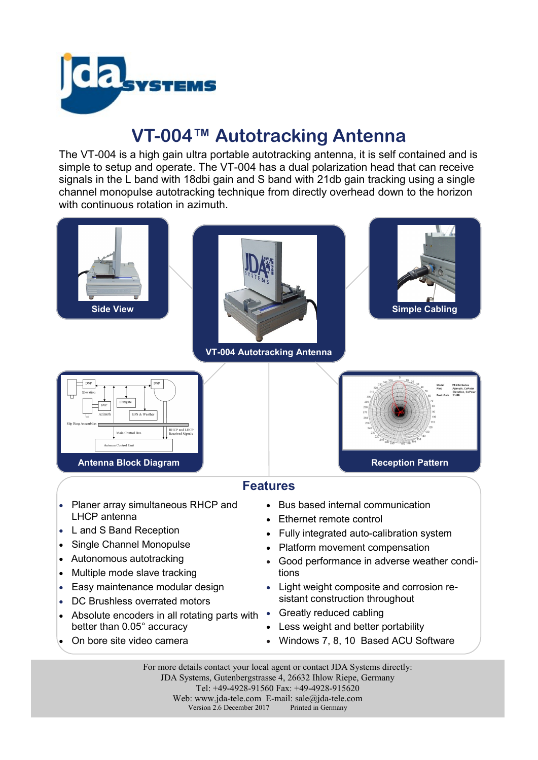

## **VT-004™ Autotracking Antenna**

The VT-004 is a high gain ultra portable autotracking antenna, it is self contained and is simple to setup and operate. The VT-004 has a dual polarization head that can receive signals in the L band with 18dbi gain and S band with 21db gain tracking using a single channel monopulse autotracking technique from directly overhead down to the horizon with continuous rotation in azimuth.



For more details contact your local agent or contact JDA Systems directly: JDA Systems, Gutenbergstrasse 4, 26632 Ihlow Riepe, Germany Tel: +49-4928-91560 Fax: +49-4928-915620 Web: www.jda-tele.com E-mail: sale@jda-tele.com<br>Version 2.6 December 2017 Printed in Germany Version  $2.6$  December 2017